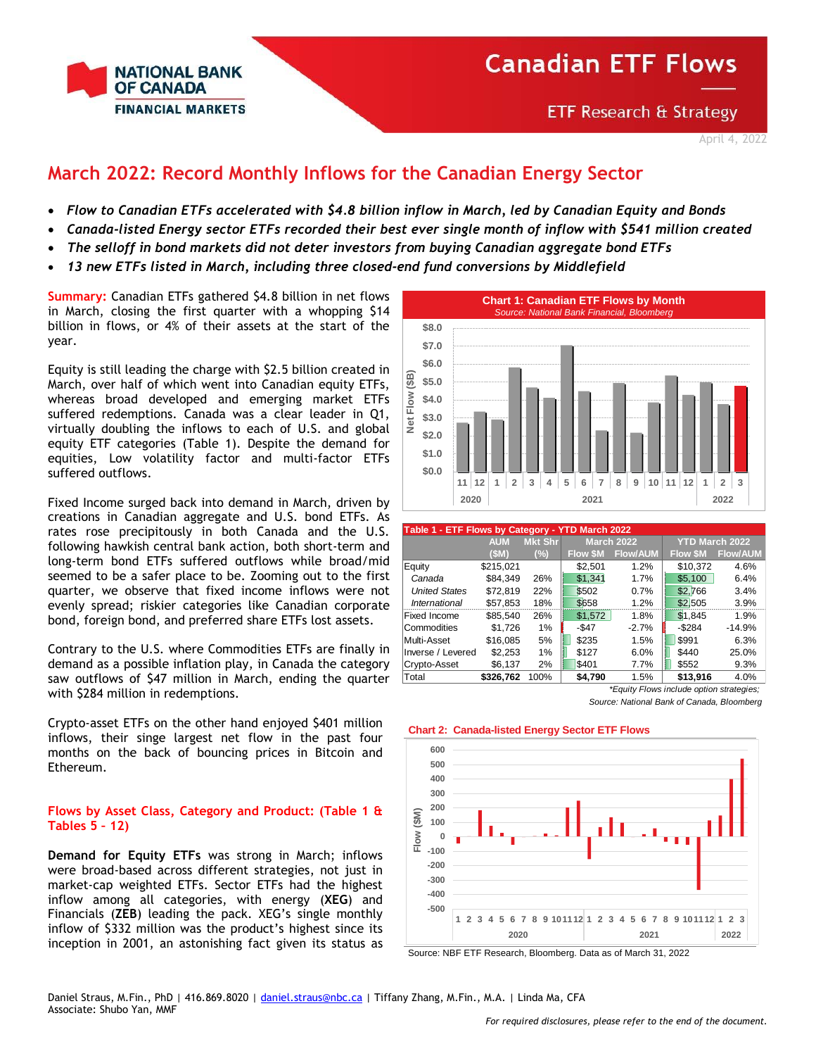

**ETF Research & Strategy** 

## **March 2022: Record Monthly Inflows for the Canadian Energy Sector**

- *Flow to Canadian ETFs accelerated with \$4.8 billion inflow in March, led by Canadian Equity and Bonds*
- *Canada-listed Energy sector ETFs recorded their best ever single month of inflow with \$541 million created*
- *The selloff in bond markets did not deter investors from buying Canadian aggregate bond ETFs*
- *13 new ETFs listed in March, including three closed-end fund conversions by Middlefield*

**Summary:** Canadian ETFs gathered \$4.8 billion in net flows in March, closing the first quarter with a whopping \$14 billion in flows, or 4% of their assets at the start of the year.

Equity is still leading the charge with \$2.5 billion created in March, over half of which went into Canadian equity ETFs, whereas broad developed and emerging market ETFs suffered redemptions. Canada was a clear leader in Q1, virtually doubling the inflows to each of U.S. and global equity ETF categories (Table 1). Despite the demand for equities, Low volatility factor and multi-factor ETFs suffered outflows.

Fixed Income surged back into demand in March, driven by creations in Canadian aggregate and U.S. bond ETFs. As rates rose precipitously in both Canada and the U.S. following hawkish central bank action, both short-term and long-term bond ETFs suffered outflows while broad/mid seemed to be a safer place to be. Zooming out to the first quarter, we observe that fixed income inflows were not evenly spread; riskier categories like Canadian corporate bond, foreign bond, and preferred share ETFs lost assets.

Contrary to the U.S. where Commodities ETFs are finally in demand as a possible inflation play, in Canada the category saw outflows of \$47 million in March, ending the quarter with \$284 million in redemptions.

Crypto-asset ETFs on the other hand enjoyed \$401 million inflows, their singe largest net flow in the past four months on the back of bouncing prices in Bitcoin and Ethereum.

## **Flows by Asset Class, Category and Product: (Table 1 & Tables 5 – 12)**

**Demand for Equity ETFs** was strong in March; inflows were broad-based across different strategies, not just in market-cap weighted ETFs. Sector ETFs had the highest inflow among all categories, with energy (**XEG**) and Financials (**ZEB**) leading the pack. XEG's single monthly inflow of \$332 million was the product's highest since its inception in 2001, an astonishing fact given its status as



|                      | Table 1 - ETF Flows by Category - YTD March 2022 |                |                |                   |                       |                 |  |  |  |  |  |  |  |
|----------------------|--------------------------------------------------|----------------|----------------|-------------------|-----------------------|-----------------|--|--|--|--|--|--|--|
|                      | <b>AUM</b>                                       | <b>Mkt Shr</b> |                | <b>March 2022</b> | <b>YTD March 2022</b> |                 |  |  |  |  |  |  |  |
|                      | (SM)                                             | (%)            | <b>Flow SM</b> | <b>Flow/AUM</b>   | <b>Flow \$M</b>       | <b>Flow/AUM</b> |  |  |  |  |  |  |  |
| Equity               | \$215,021                                        |                | \$2,501        | 1.2%              | \$10,372              | 4.6%            |  |  |  |  |  |  |  |
| Canada               | \$84.349                                         | 26%            | \$1.341        | 1.7%              | \$5,100               | 6.4%            |  |  |  |  |  |  |  |
| <b>United States</b> | \$72.819                                         | 22%            | \$502          | 0.7%              | \$2,766               | 3.4%            |  |  |  |  |  |  |  |
| International        | \$57,853                                         | 18%            | \$658          | 1.2%              | \$2,505               | 3.9%            |  |  |  |  |  |  |  |
| Fixed Income         | \$85.540                                         | 26%            | \$1,572        | 1.8%              | \$1,845               | 1.9%            |  |  |  |  |  |  |  |
| Commodities          | \$1,726                                          | 1%             | $-$ \$47       | $-2.7%$           | $-$ \$284             | $-14.9%$        |  |  |  |  |  |  |  |
| Multi-Asset          | \$16,085                                         | 5%             | \$235          | 1.5%              | \$991                 | 6.3%            |  |  |  |  |  |  |  |
| Inverse / Levered    | \$2,253                                          | 1%             | \$127          | 6.0%              | \$440                 | 25.0%           |  |  |  |  |  |  |  |
| Crypto-Asset         | \$6,137                                          | 2%             | \$401          | 7.7%              | \$552                 | 9.3%            |  |  |  |  |  |  |  |
| Total                | \$326.762                                        | 100%           | \$4.790        | 1.5%              | \$13,916              | 4.0%            |  |  |  |  |  |  |  |

*\*Equity Flows include option strategies; Source: National Bank of Canada, Bloomberg*

## **Chart 2: Canada-listed Energy Sector ETF Flows**



Source: NBF ETF Research, Bloomberg. Data as of March 31, 2022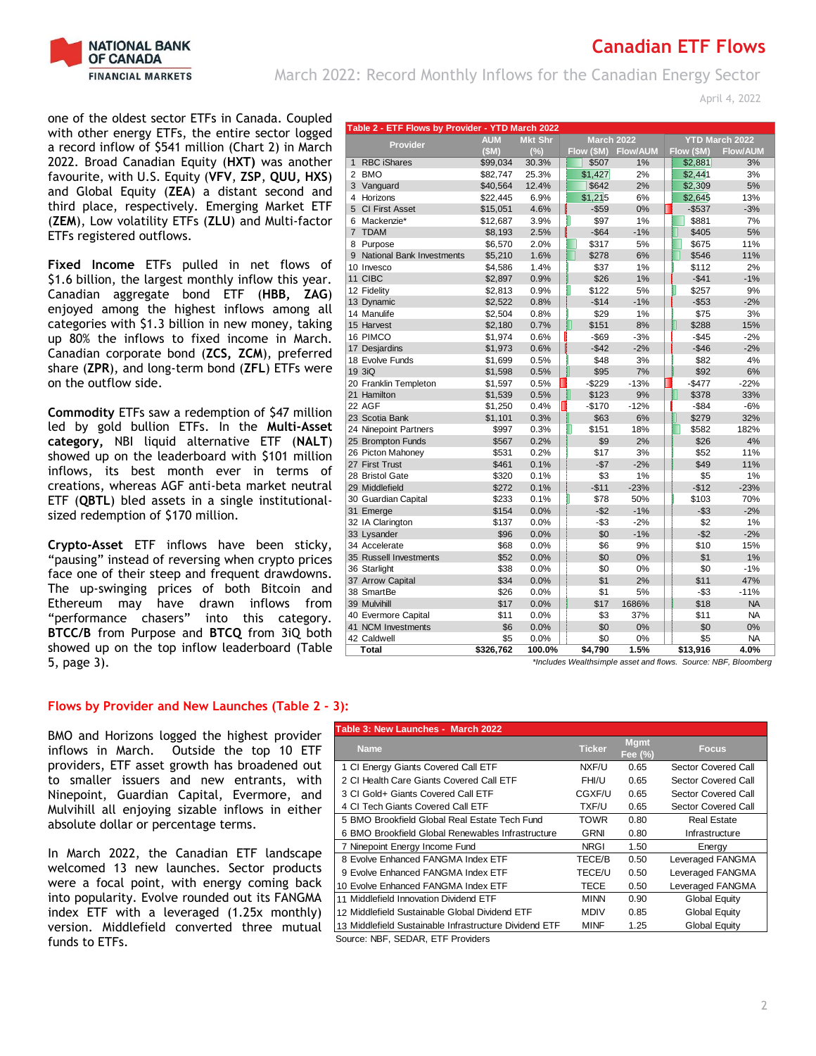

March 2022: Record Monthly Inflows for the Canadian Energy Sector

April 4, 2022

one of the oldest sector ETFs in Canada. Coupled with other energy ETFs, the entire sector logged a record inflow of \$541 million (Chart 2) in March 2022. Broad Canadian Equity (**HXT)** was another favourite, with U.S. Equity (**VFV**, **ZSP**, **QUU, HXS**) and Global Equity (**ZEA**) a distant second and third place, respectively. Emerging Market ETF (**ZEM**), Low volatility ETFs (**ZLU**) and Multi-factor ETFs registered outflows.

**Fixed Income** ETFs pulled in net flows of \$1.6 billion, the largest monthly inflow this year. Canadian aggregate bond ETF (**HBB, ZAG**) enjoyed among the highest inflows among all categories with \$1.3 billion in new money, taking up 80% the inflows to fixed income in March. Canadian corporate bond (**ZCS, ZCM**), preferred share (**ZPR**), and long-term bond (**ZFL**) ETFs were on the outflow side.

**Commodity** ETFs saw a redemption of \$47 million led by gold bullion ETFs. In the **Multi-Asset category,** NBI liquid alternative ETF (**NALT**) showed up on the leaderboard with \$101 million inflows, its best month ever in terms of creations, whereas AGF anti-beta market neutral ETF (**QBTL**) bled assets in a single institutionalsized redemption of \$170 million.

**Crypto-Asset** ETF inflows have been sticky, "pausing" instead of reversing when crypto prices face one of their steep and frequent drawdowns. The up-swinging prices of both Bitcoin and Ethereum may have drawn inflows from "performance chasers" into this category. **BTCC/B** from Purpose and **BTCQ** from 3iQ both showed up on the top inflow leaderboard (Table 5, page 3).

## **Flows by Provider and New Launches (Table 2 - 3):**

BMO and Horizons logged the highest provider inflows in March. Outside the top 10 ETF providers, ETF asset growth has broadened out to smaller issuers and new entrants, with Ninepoint, Guardian Capital, Evermore, and Mulvihill all enjoying sizable inflows in either absolute dollar or percentage terms.

In March 2022, the Canadian ETF landscape welcomed 13 new launches. Sector products were a focal point, with energy coming back into popularity. Evolve rounded out its FANGMA index ETF with a leveraged (1.25x monthly) version. Middlefield converted three mutual funds to ETFs.

|                | Table 2 - ETF Flows by Provider - YTD March 2022 |            |                |                                            |          |                 |  |            |                 |  |  |  |
|----------------|--------------------------------------------------|------------|----------------|--------------------------------------------|----------|-----------------|--|------------|-----------------|--|--|--|
|                | Provider                                         | <b>AUM</b> | <b>Mkt Shr</b> | <b>March 2022</b><br><b>YTD March 2022</b> |          |                 |  |            |                 |  |  |  |
|                |                                                  | (SM)       | (%)            | Flow (\$M)                                 |          | <b>Flow/AUM</b> |  | Flow (\$M) | <b>Flow/AUM</b> |  |  |  |
| $\mathbf{1}$   | <b>RBC iShares</b>                               | \$99,034   | 30.3%          |                                            | \$507    | 1%              |  | \$2,881    | 3%              |  |  |  |
| 2              | <b>BMO</b>                                       | \$82,747   | 25.3%          | \$1,427                                    |          | 2%              |  | \$2,441    | 3%              |  |  |  |
|                | 3 Vanguard                                       | \$40,564   | 12.4%          |                                            | \$642    | 2%              |  | \$2,309    | 5%              |  |  |  |
| $\overline{4}$ | Horizons                                         | \$22,445   | 6.9%           | \$1,215                                    |          | 6%              |  | \$2,645    | 13%             |  |  |  |
| $5^{\circ}$    | <b>CI First Asset</b>                            | \$15,051   | 4.6%           |                                            | $-$59$   | 0%              |  | $-$ \$537  | $-3%$           |  |  |  |
| 6              | Mackenzie*                                       | \$12,687   | 3.9%           | I                                          | \$97     | 1%              |  | \$881      | 7%              |  |  |  |
| $\overline{7}$ | <b>TDAM</b>                                      | \$8,193    | 2.5%           |                                            | $-$ \$64 | $-1%$           |  | \$405      | 5%              |  |  |  |
| 8              | Purpose                                          | \$6,570    | 2.0%           |                                            | \$317    | 5%              |  | \$675      | 11%             |  |  |  |
| 9              | National Bank Investments                        | \$5,210    | 1.6%           |                                            | \$278    | 6%              |  | \$546      | 11%             |  |  |  |
|                | 10 Invesco                                       | \$4,586    | 1.4%           |                                            | \$37     | 1%              |  | \$112      | 2%              |  |  |  |
| 11             | <b>CIBC</b>                                      | \$2,897    | 0.9%           |                                            | \$26     | 1%              |  | $-$41$     | $-1%$           |  |  |  |
|                | 12 Fidelity                                      | \$2,813    | 0.9%           | I                                          | \$122    | 5%              |  | \$257      | 9%              |  |  |  |
|                | 13 Dynamic                                       | \$2,522    | 0.8%           |                                            | $-$14$   | $-1%$           |  | $-$53$     | $-2%$           |  |  |  |
|                | 14 Manulife                                      | \$2,504    | 0.8%           |                                            | \$29     | 1%              |  | \$75       | 3%              |  |  |  |
|                | 15 Harvest                                       | \$2,180    | 0.7%           |                                            | \$151    | 8%              |  | \$288      | 15%             |  |  |  |
|                | 16 PIMCO                                         | \$1,974    | 0.6%           |                                            | $-$ \$69 | $-3%$           |  | $-$45$     | $-2%$           |  |  |  |
|                | 17 Desjardins                                    | \$1,973    | 0.6%           |                                            | $-$42$   | $-2%$           |  | $-$ \$46   | $-2%$           |  |  |  |
|                | 18 Evolve Funds                                  | \$1,699    | 0.5%           |                                            | \$48     | 3%              |  | \$82       | 4%              |  |  |  |
|                | 19 3iQ                                           | \$1,598    | 0.5%           |                                            | \$95     | 7%              |  | \$92       | 6%              |  |  |  |
|                | 20 Franklin Templeton                            | \$1,597    | 0.5%           | $-$229$                                    |          | $-13%$          |  | $-$477$    | $-22%$          |  |  |  |
|                | 21 Hamilton                                      | \$1,539    | 0.5%           |                                            | \$123    | 9%              |  | \$378      | 33%             |  |  |  |
|                | 22 AGF                                           | \$1,250    | 0.4%           | $-$170$                                    |          | $-12%$          |  | $-$ \$84   | $-6%$           |  |  |  |
|                | 23 Scotia Bank                                   | \$1,101    | 0.3%           |                                            | \$63     | 6%              |  | \$279      | 32%             |  |  |  |
|                | 24 Ninepoint Partners                            | \$997      | 0.3%           | I.                                         | \$151    | 18%             |  | \$582      | 182%            |  |  |  |
|                | 25 Brompton Funds                                | \$567      | 0.2%           |                                            | \$9      | 2%              |  | \$26       | 4%              |  |  |  |
|                | 26 Picton Mahoney                                | \$531      | 0.2%           |                                            | \$17     | 3%              |  | \$52       | 11%             |  |  |  |
|                | 27 First Trust                                   | \$461      | 0.1%           |                                            | $-\$7$   | $-2%$           |  | \$49       | 11%             |  |  |  |
|                | 28 Bristol Gate                                  | \$320      | 0.1%           |                                            | \$3      | 1%              |  | \$5        | 1%              |  |  |  |
|                | 29 Middlefield                                   | \$272      | 0.1%           |                                            | $-$11$   | $-23%$          |  | $-$12$     | $-23%$          |  |  |  |
|                | 30 Guardian Capital                              | \$233      | 0.1%           |                                            | \$78     | 50%             |  | \$103      | 70%             |  |  |  |
|                | 31 Emerge                                        | \$154      | 0.0%           |                                            | $-$ \$2  | $-1%$           |  | $-$ \$3    | $-2%$           |  |  |  |
|                | 32 IA Clarington                                 | \$137      | 0.0%           |                                            | -\$3     | $-2%$           |  | \$2        | 1%              |  |  |  |
|                | 33 Lysander                                      | \$96       | 0.0%           |                                            | \$0      | $-1%$           |  | $-$ \$2    | $-2%$           |  |  |  |
|                | 34 Accelerate                                    | \$68       | 0.0%           |                                            | \$6      | 9%              |  | \$10       | 15%             |  |  |  |
|                | 35 Russell Investments                           | \$52       | 0.0%           |                                            | \$0      | 0%              |  | \$1        | 1%              |  |  |  |
|                | 36 Starlight                                     | \$38       | 0.0%           |                                            | \$0      | 0%              |  | \$0        | $-1%$           |  |  |  |
|                | 37 Arrow Capital                                 | \$34       | 0.0%           |                                            | \$1      | 2%              |  | \$11       | 47%             |  |  |  |
|                | 38 SmartBe                                       | \$26       | 0.0%           |                                            | \$1      | 5%              |  | $- $3$     | $-11%$          |  |  |  |
|                | 39 Mulvihill                                     | \$17       | 0.0%           |                                            | \$17     | 1686%           |  | \$18       | <b>NA</b>       |  |  |  |
|                | 40 Evermore Capital                              | \$11       | 0.0%           |                                            | \$3      | 37%             |  | \$11       | <b>NA</b>       |  |  |  |
|                | 41 NCM Investments                               | \$6        | 0.0%           |                                            | \$0      | 0%              |  | \$0        | 0%              |  |  |  |
|                | 42 Caldwell                                      | \$5        | 0.0%           |                                            | \$0      | 0%              |  | \$5        | <b>NA</b>       |  |  |  |
|                | Total                                            | \$326,762  | 100.0%         | \$4,790                                    |          | 1.5%            |  | \$13,916   | 4.0%            |  |  |  |

*\*Includes Wealthsimple asset and flows. Source: NBF, Bloomberg*

| Table 3: New Launches - March 2022                     |               |                         |                      |
|--------------------------------------------------------|---------------|-------------------------|----------------------|
| <b>Name</b>                                            | <b>Ticker</b> | <b>M</b> gmt<br>Fee (%) | <b>Focus</b>         |
| 1 CI Energy Giants Covered Call ETF                    | NXF/U         | 0.65                    | Sector Covered Call  |
| 2 CI Health Care Giants Covered Call ETF               | FHI/U         | 0.65                    | Sector Covered Call  |
| 3 CI Gold+ Giants Covered Call ETF                     | CGXF/U        | 0.65                    | Sector Covered Call  |
| 4 CI Tech Giants Covered Call ETF                      | TXF/U         | 0.65                    | Sector Covered Call  |
| 5 BMO Brookfield Global Real Estate Tech Fund          | TOWR          | 0.80                    | Real Estate          |
| 6 BMO Brookfield Global Renewables Infrastructure      | GRNI          | 0.80                    | Infrastructure       |
| 7 Ninepoint Energy Income Fund                         | <b>NRGI</b>   | 1.50                    | Energy               |
| 8 Evolve Enhanced FANGMA Index ETF                     | TECE/B        | 0.50                    | Leveraged FANGMA     |
| 9 Evolve Enhanced FANGMA Index ETF                     | TECE/U        | 0.50                    | Leveraged FANGMA     |
| 10 Evolve Enhanced FANGMA Index ETF                    | TECE          | 0.50                    | Leveraged FANGMA     |
| 11 Middlefield Innovation Dividend ETF                 | <b>MINN</b>   | 0.90                    | Global Equity        |
| 12 Middlefield Sustainable Global Dividend ETF         | <b>MDIV</b>   | 0.85                    | <b>Global Equity</b> |
| 13 Middlefield Sustainable Infrastructure Dividend ETF | <b>MINF</b>   | 1.25                    | Global Equity        |
| Source: NBF, SEDAR, ETF Providers                      |               |                         |                      |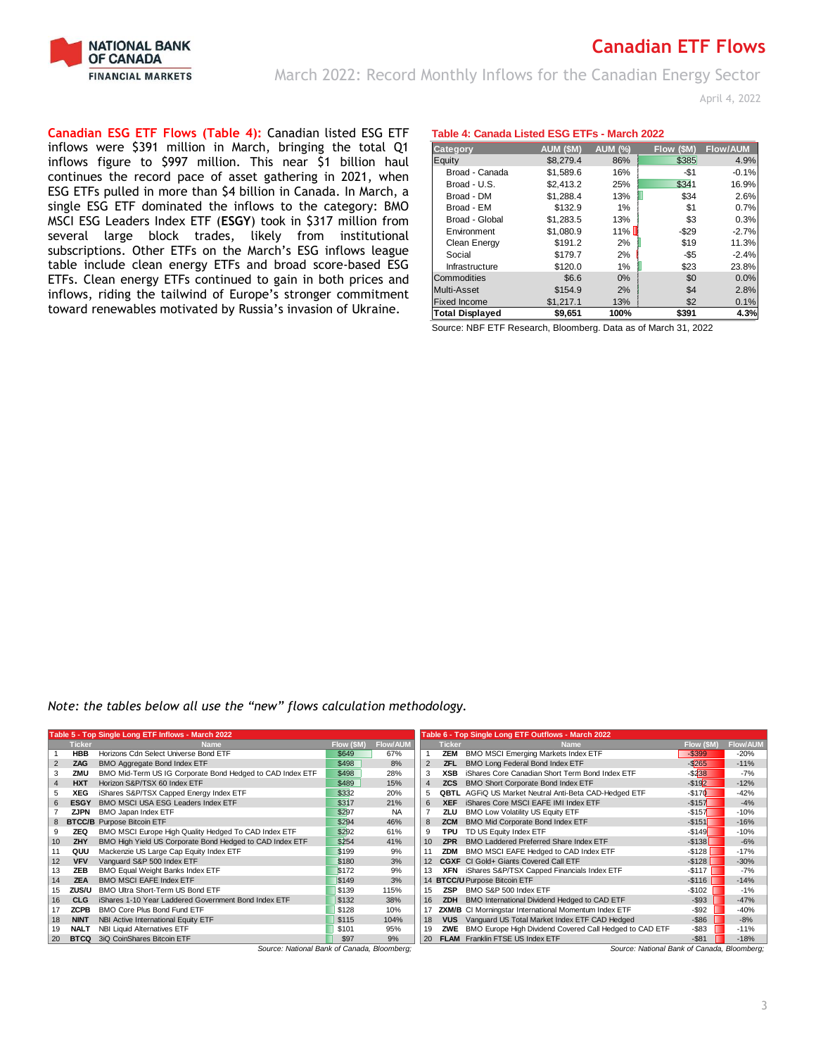

March 2022: Record Monthly Inflows for the Canadian Energy Sector

April 4, 2022

**Canadian ESG ETF Flows (Table 4):** Canadian listed ESG ETF inflows were \$391 million in March, bringing the total Q1 inflows figure to \$997 million. This near \$1 billion haul continues the record pace of asset gathering in 2021, when ESG ETFs pulled in more than \$4 billion in Canada. In March, a single ESG ETF dominated the inflows to the category: BMO MSCI ESG Leaders Index ETF (**ESGY**) took in \$317 million from several large block trades, likely from institutional subscriptions. Other ETFs on the March's ESG inflows league table include clean energy ETFs and broad score-based ESG ETFs. Clean energy ETFs continued to gain in both prices and inflows, riding the tailwind of Europe's stronger commitment toward renewables motivated by Russia's invasion of Ukraine.

## **Table 4: Canada Listed ESG ETFs - March 2022**

| Category               | AUM (\$M) | <b>AUM (%)</b> | Flow (SM) | <b>Flow/AUM</b> |
|------------------------|-----------|----------------|-----------|-----------------|
| Equity                 | \$8,279.4 | 86%            | \$385     | 4.9%            |
| Broad - Canada         | \$1.589.6 | 16%            | $-$1$     | $-0.1%$         |
| Broad - U.S.           | \$2.413.2 | 25%            | \$341     | 16.9%           |
| Broad - DM             | \$1.288.4 | 13%            | \$34      | 2.6%            |
| Broad - EM             | \$132.9   | 1%             | \$1       | 0.7%            |
| Broad - Global         | \$1.283.5 | 13%            | \$3       | 0.3%            |
| Environment            | \$1.080.9 | $11\%$         | $-$29$    | $-2.7%$         |
| Clean Energy           | \$191.2   | 2%             | \$19      | 11.3%           |
| Social                 | \$179.7   | 2%             | $-$ \$5   | $-2.4%$         |
| Infrastructure         | \$120.0   | 1%             | \$23      | 23.8%           |
| Commodities            | \$6.6     | $0\%$          | \$0       | 0.0%            |
| Multi-Asset            | \$154.9   | 2%             | \$4       | 2.8%            |
| <b>Fixed Income</b>    | \$1,217.1 | 13%            | \$2       | 0.1%            |
| <b>Total Displayed</b> | \$9,651   | 100%           | \$391     | 4.3%            |

Source: NBF ETF Research, Bloomberg. Data as of March 31, 2022

*Note: the tables below all use the "new" flows calculation methodology.*

|                |               | Table 5 - Top Single Long ETF Inflows - March 2022        |            |                 |                |               | Table 6 - Top Single Long ETF Outflows - March 2022          |            |                 |
|----------------|---------------|-----------------------------------------------------------|------------|-----------------|----------------|---------------|--------------------------------------------------------------|------------|-----------------|
|                | <b>Ticker</b> | <b>Name</b>                                               | Flow (\$M) | <b>Flow/AUM</b> |                | <b>Ticker</b> | <b>Name</b>                                                  | Flow (\$M) | <b>Flow/AUM</b> |
|                | <b>HBB</b>    | Horizons Cdn Select Universe Bond ETF                     | \$649      | 67%             |                | ZEM           | BMO MSCI Emerging Markets Index ETF                          | $-$ \$399  | $-20%$          |
| $\overline{2}$ | ZAG           | <b>BMO Aggregate Bond Index ETF</b>                       | \$498      | 8%              | $\overline{2}$ | <b>ZFL</b>    | BMO Long Federal Bond Index ETF                              | $-$ \$265  | $-11%$          |
|                | ZMU           | BMO Mid-Term US IG Corporate Bond Hedged to CAD Index ETF | \$498      | 28%             | 3              | <b>XSB</b>    | iShares Core Canadian Short Term Bond Index ETF              | $-$ \$238  | $-7%$           |
| $\overline{4}$ | <b>HXT</b>    | Horizon S&P/TSX 60 Index ETF                              | \$489      | 15%             | 4              | <b>ZCS</b>    | BMO Short Corporate Bond Index ETF                           | $-$ \$192  | $-12%$          |
|                | XEG           | iShares S&P/TSX Capped Energy Index ETF                   | \$332      | 20%             | 5              | <b>QBTL</b>   | AGFIQ US Market Neutral Anti-Beta CAD-Hedged ETF             | $-$170$    | $-42%$          |
| 6.             | <b>ESGY</b>   | BMO MSCI USA ESG Leaders Index ETF                        | \$317      | 21%             | 6              | <b>XEF</b>    | iShares Core MSCI EAFE IMI Index ETF                         | $-$157$    | $-4%$           |
|                | <b>ZJPN</b>   | BMO Japan Index ETF                                       | \$297      | <b>NA</b>       |                | ZLU           | BMO Low Volatility US Equity ETF                             | $-$157$    | $-10%$          |
|                |               | 8 BTCC/B Purpose Bitcoin ETF                              | \$294      | 46%             | 8              | <b>ZCM</b>    | BMO Mid Corporate Bond Index ETF                             | $-$ \$151  | $-16%$          |
| 9              | <b>ZEQ</b>    | BMO MSCI Europe High Quality Hedged To CAD Index ETF      | \$292      | 61%             | 9              | TPU           | TD US Equity Index ETF                                       | $-$149$    | $-10%$          |
| 10             | ZHY           | BMO High Yield US Corporate Bond Hedged to CAD Index ETF  | \$254      | 41%             | 10             | <b>ZPR</b>    | <b>BMO Laddered Preferred Share Index ETF</b>                | $-$138$    | $-6%$           |
|                | QUU           | Mackenzie US Large Cap Equity Index ETF                   | \$199      | 9%              |                | <b>ZDM</b>    | BMO MSCI EAFE Hedged to CAD Index ETF                        | $-$ \$128  | $-17%$          |
| 12             | <b>VFV</b>    | Vanguard S&P 500 Index ETF                                | \$180      | 3%              | 12             |               | <b>CGXF</b> CI Gold+ Giants Covered Call ETF                 | $-$ \$128  | $-30%$          |
| 13.            | ZEB           | BMO Equal Weight Banks Index ETF                          | \$172      | 9%              | 13             | <b>XFN</b>    | iShares S&P/TSX Capped Financials Index ETF                  | $-$117$    | $-7%$           |
| 14             | <b>ZEA</b>    | <b>BMO MSCI EAFE Index ETF</b>                            | \$149      | 3%              | 14             |               | <b>BTCC/U Purpose Bitcoin ETF</b>                            | $-S116$    | $-14%$          |
| 15             | ZUS/U         | BMO Ultra Short-Term US Bond ETF                          | \$139      | 115%            | 15             | <b>ZSP</b>    | BMO S&P 500 Index ETF                                        | $-$102$    | $-1%$           |
| 16             | <b>CLG</b>    | iShares 1-10 Year Laddered Government Bond Index ETF      | \$132      | 38%             | 16             | <b>ZDH</b>    | BMO International Dividend Hedged to CAD ETF                 | $-$ \$93   | $-47%$          |
|                | <b>ZCPB</b>   | BMO Core Plus Bond Fund ETF                               | \$128      | 10%             |                |               | <b>ZXM/B</b> CI Morningstar International Momentum Index ETF | $-$ \$92   | $-40%$          |
| 18             | <b>NINT</b>   | NBI Active International Equity ETF                       | \$115      | 104%            | 18             | <b>VUS</b>    | Vanguard US Total Market Index ETF CAD Hedged                | $-$ \$86   | $-8%$           |
| 19             | <b>NALT</b>   | NBI Liquid Alternatives ETF                               | \$101      | 95%             | 19             | ZWE           | BMO Europe High Dividend Covered Call Hedged to CAD ETF      | $-$ \$83   | $-11%$          |
| 20             | <b>BTCQ</b>   | 3iQ CoinShares Bitcoin ETF                                | \$97       | 9%              | 20             |               | <b>FLAM</b> Franklin FTSE US Index ETF                       | $-$81$     | $-18%$          |

*Source: National Bank of Canada, Bloomberg; Source: National Bank of Canada, Bloomberg;*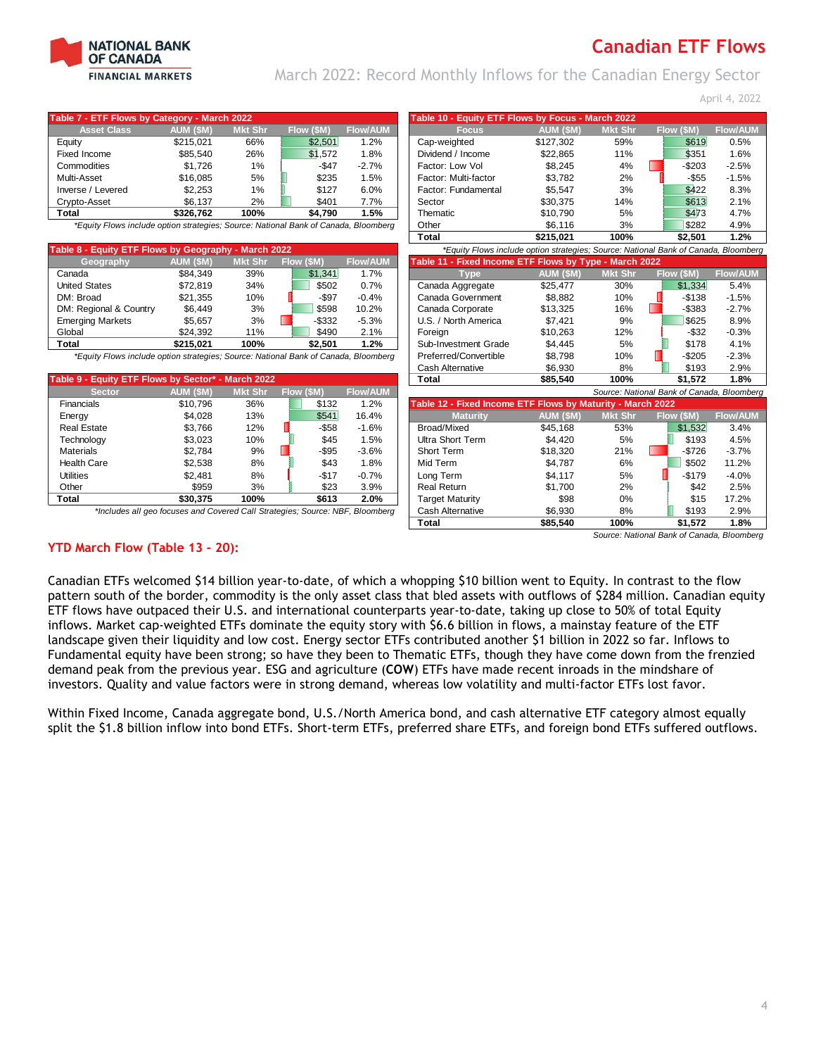

March 2022: Record Monthly Inflows for the Canadian Energy Sector

April 4, 2022

| Table 7 - ETF Flows by Category - March 2022                                        |           |                |            |                 | Table 10 - Equity ETF Flows by Focus - March 2022                                   |           |                |            |                                            |
|-------------------------------------------------------------------------------------|-----------|----------------|------------|-----------------|-------------------------------------------------------------------------------------|-----------|----------------|------------|--------------------------------------------|
| <b>Asset Class</b>                                                                  | AUM (\$M) | <b>Mkt Shr</b> | Flow (\$M) | <b>Flow/AUM</b> | <b>Focus</b>                                                                        | AUM (\$M) | <b>Mkt Shr</b> | Flow (\$M) | <b>Flow/AUM</b>                            |
| Equity                                                                              | \$215,021 | 66%            | \$2,501    | 1.2%            | Cap-weighted                                                                        | \$127,302 | 59%            | \$619      | 0.5%                                       |
| Fixed Income                                                                        | \$85,540  | 26%            | \$1,572    | 1.8%            | Dividend / Income                                                                   | \$22,865  | 11%            | \$351      | 1.6%                                       |
| Commodities                                                                         | \$1.726   | $1\%$          | $-$ \$47   | $-2.7%$         | Factor: Low Vol                                                                     | \$8,245   | 4%             | $-$203$    | $-2.5%$                                    |
| Multi-Asset                                                                         | \$16,085  | 5%             | \$235      | 1.5%            | Factor: Multi-factor                                                                | \$3,782   | 2%             | $-$55$     | $-1.5%$                                    |
| Inverse / Levered                                                                   | \$2,253   | 1%             | \$127      | 6.0%            | Factor: Fundamental                                                                 | \$5,547   | 3%             | \$422      | 8.3%                                       |
| Crypto-Asset                                                                        | \$6,137   | 2%             | \$401      | 7.7%            | Sector                                                                              | \$30,375  | 14%            | \$613      | 2.1%                                       |
| <b>Total</b>                                                                        | \$326,762 | 100%           | \$4,790    | 1.5%            | Thematic                                                                            | \$10,790  | 5%             | \$473      | 4.7%                                       |
| *Equity Flows include option strategies; Source: National Bank of Canada, Bloomberg |           |                |            |                 | Other                                                                               | \$6,116   | 3%             | \$282      | 4.9%                                       |
|                                                                                     |           |                |            |                 | <b>Total</b>                                                                        | \$215,021 | 100%           | \$2,501    | 1.2%                                       |
| Table 8 - Equity ETF Flows by Geography - March 2022                                |           |                |            |                 | *Equity Flows include option strategies; Source: National Bank of Canada, Bloomberg |           |                |            |                                            |
| Geography                                                                           | AUM (SM)  | <b>Mkt Shr</b> | Flow (\$M) | <b>Flow/AUM</b> | Table 11 - Fixed Income ETF Flows by Type - March 2022                              |           |                |            |                                            |
| Canada                                                                              | \$84,349  | 39%            | \$1,341    | 1.7%            | <b>Type</b>                                                                         | AUM (SM)  | <b>Mkt Shr</b> | Flow (\$M) | <b>Flow/AUM</b>                            |
| <b>United States</b>                                                                | \$72,819  | 34%            | \$502      | 0.7%            | Canada Aggregate                                                                    | \$25,477  | 30%            | \$1,334    | 5.4%                                       |
| DM: Broad                                                                           | \$21,355  | 10%            | $-$ \$97   | $-0.4%$         | Canada Government                                                                   | \$8,882   | 10%            | $-$138$    | $-1.5%$                                    |
| DM: Regional & Country                                                              | \$6,449   | 3%             | \$598      | 10.2%           | Canada Corporate                                                                    | \$13,325  | 16%            | $-$ \$383  | $-2.7%$                                    |
| <b>Emerging Markets</b>                                                             | \$5,657   | 3%             | $-$ \$332  | $-5.3%$         | U.S. / North America                                                                | \$7,421   | 9%             | \$625      | 8.9%                                       |
| Global                                                                              | \$24,392  | 11%            | \$490      | 2.1%            | Foreign                                                                             | \$10,263  | 12%            | $-$ \$32   | $-0.3%$                                    |
| <b>Total</b>                                                                        | \$215,021 | 100%           | \$2,501    | 1.2%            | Sub-Investment Grade                                                                | \$4,445   | 5%             | \$178      | 4.1%                                       |
| *Equity Flows include option strategies; Source: National Bank of Canada, Bloomberg |           |                |            |                 | Preferred/Convertible                                                               | \$8,798   | 10%            | $-$205$    | $-2.3%$                                    |
|                                                                                     |           |                |            |                 | <b>Cash Alternative</b>                                                             | \$6,930   | 8%             | \$193      | 2.9%                                       |
| Table 9 - Equity ETF Flows by Sector* - March 2022                                  |           |                |            |                 | <b>Total</b>                                                                        | \$85,540  | 100%           | \$1,572    | 1.8%                                       |
| <b>Sector</b>                                                                       | AUM (\$M) | <b>Mkt Shr</b> | Flow (\$M) | <b>Flow/AUM</b> |                                                                                     |           |                |            | Source: National Bank of Canada, Bloomberg |
| Financials                                                                          | \$10,796  | 36%            | \$132      | 1.2%            | Table 12 - Fixed Income ETF Flows by Maturity - March 2022                          |           |                |            |                                            |
| Energy                                                                              | \$4,028   | 13%            | \$541      | 16.4%           | <b>Maturity</b>                                                                     | AUM (\$M) | <b>Mkt Shr</b> | Flow (\$M) | <b>Flow/AUM</b>                            |
| <b>Real Estate</b>                                                                  | \$3,766   | 12%            | $-$ \$58   | $-1.6%$         | Broad/Mixed                                                                         | \$45,168  | 53%            | \$1,532    | 3.4%                                       |
| Technology                                                                          | \$3,023   | 10%            | \$45       | 1.5%            | <b>Ultra Short Term</b>                                                             | \$4,420   | 5%             | \$193      | 4.5%                                       |
| <b>Materials</b>                                                                    | \$2,784   | 9%             | $-$ \$95   | $-3.6%$         | Short Term                                                                          | \$18,320  | 21%            | $-$726$    | $-3.7%$                                    |
| <b>Health Care</b>                                                                  | \$2,538   | 8%             | \$43       | 1.8%            | Mid Term                                                                            | \$4,787   | 6%             | \$502      | 11.2%                                      |
| <b>Utilities</b>                                                                    | \$2,481   | 8%             | $-$17$     | $-0.7%$         | Long Term                                                                           | \$4,117   | 5%             | $-$179$    | $-4.0%$                                    |
| Other                                                                               | \$959     | 3%             | \$23       | 3.9%            | <b>Real Return</b>                                                                  | \$1,700   | 2%             | \$42       | 2.5%                                       |
| <b>Total</b>                                                                        | \$30,375  | 100%           | \$613      | 2.0%            | <b>Target Maturity</b>                                                              | \$98      | 0%             | \$15       | 17.2%                                      |
| *Includes all geo focuses and Covered Call Strategies; Source: NBF, Bloomberg       |           |                |            |                 | <b>Cash Alternative</b>                                                             | \$6,930   | 8%             | \$193      | 2.9%                                       |
|                                                                                     |           |                |            |                 | <b>Total</b>                                                                        | \$85,540  | 100%           | \$1,572    | 1.8%                                       |
|                                                                                     |           |                |            |                 |                                                                                     |           |                |            | Source: National Bank of Canada, Bloomberg |
| <b>YTD March Flow (Table 13 - 20):</b>                                              |           |                |            |                 |                                                                                     |           |                |            |                                            |
|                                                                                     |           |                |            |                 |                                                                                     |           |                |            |                                            |

Canadian ETFs welcomed \$14 billion year-to-date, of which a whopping \$10 billion went to Equity. In contrast to the flow pattern south of the border, commodity is the only asset class that bled assets with outflows of \$284 million. Canadian equity ETF flows have outpaced their U.S. and international counterparts year-to-date, taking up close to 50% of total Equity inflows. Market cap-weighted ETFs dominate the equity story with \$6.6 billion in flows, a mainstay feature of the ETF landscape given their liquidity and low cost. Energy sector ETFs contributed another \$1 billion in 2022 so far. Inflows to Fundamental equity have been strong; so have they been to Thematic ETFs, though they have come down from the frenzied demand peak from the previous year. ESG and agriculture (**COW**) ETFs have made recent inroads in the mindshare of investors. Quality and value factors were in strong demand, whereas low volatility and multi-factor ETFs lost favor.

Within Fixed Income, Canada aggregate bond, U.S./North America bond, and cash alternative ETF category almost equally split the \$1.8 billion inflow into bond ETFs. Short-term ETFs, preferred share ETFs, and foreign bond ETFs suffered outflows.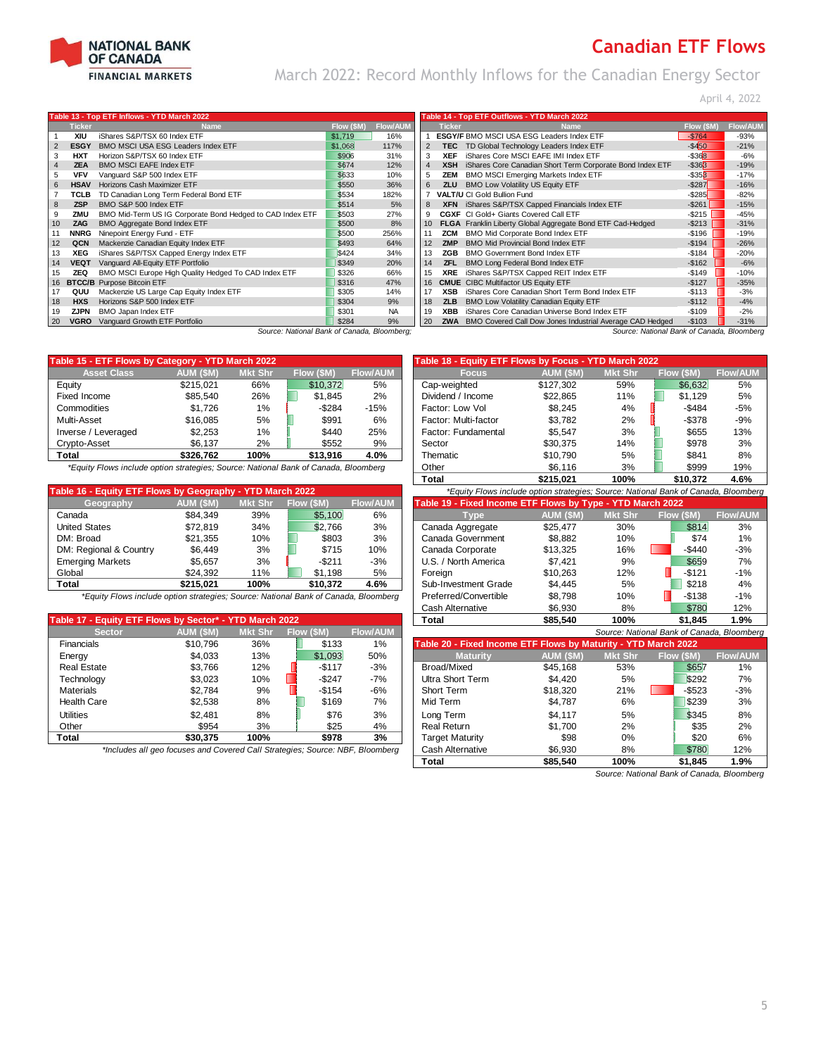

# **Canadian ETF Flows** March 2022: Record Monthly Inflows for the Canadian Energy Sector

April 4, 2022

|                   |               | Table 13 - Top ETF Inflows - YTD March 2022               |            |                 |     |               | Table 14 - Top ETF Outflows - YTD March 2022                        |            |                 |
|-------------------|---------------|-----------------------------------------------------------|------------|-----------------|-----|---------------|---------------------------------------------------------------------|------------|-----------------|
|                   | <b>Ticker</b> | <b>Name</b>                                               | Flow (\$M) | <b>Flow/AUM</b> |     | <b>Ticker</b> | Name                                                                | Flow (\$M) | <b>Flow/AUI</b> |
|                   | XIU           | iShares S&P/TSX 60 Index ETF                              | \$1,719    | 16%             |     |               | <b>ESGY/F BMO MSCI USA ESG Leaders Index ETF</b>                    | $-$764$    | $-93%$          |
|                   | <b>ESGY</b>   | BMO MSCI USA ESG Leaders Index ETF                        | \$1,068    | 117%            | 2   | <b>TEC</b>    | TD Global Technology Leaders Index ETF                              | $-$ \$450  | $-21%$          |
| 3                 | HXT           | Horizon S&P/TSX 60 Index ETF                              | \$906      | 31%             | 3   | <b>XEF</b>    | iShares Core MSCI EAFE IMI Index ETF                                | $-$ \$368  | $-6%$           |
| 4                 | <b>ZEA</b>    | <b>BMO MSCI EAFE Index ETF</b>                            | \$674      | 12%             | 4   | <b>XSH</b>    | iShares Core Canadian Short Term Corporate Bond Index ETF           | $-$ \$363  | $-19%$          |
| 5                 | <b>VFV</b>    | Vanguard S&P 500 Index ETF                                | \$633      | 10%             |     | ZEM           | <b>BMO MSCI Emerging Markets Index ETF</b>                          | $-$ \$353  | $-17%$          |
| 6                 | <b>HSAV</b>   | Horizons Cash Maximizer ETF                               | \$550      | 36%             | 6   | <b>ZLU</b>    | BMO Low Volatility US Equity ETF                                    | $-$ \$287  | $-16%$          |
|                   | TCLB          | TD Canadian Long Term Federal Bond ETF                    | \$534      | 182%            |     |               | <b>VALT/U CI Gold Bullion Fund</b>                                  | $-$ \$285  | $-82%$          |
| 8                 | <b>ZSP</b>    | BMO S&P 500 Index ETF                                     | \$514      | 5%              | 8   |               | XFN iShares S&P/TSX Capped Financials Index ETF                     | $-$ \$261  | $-15%$          |
| 9                 | ZMU           | BMO Mid-Term US IG Corporate Bond Hedged to CAD Index ETF | \$503      | 27%             |     |               | CGXF CI Gold+ Giants Covered Call ETF                               | $-$ \$215  | -45%            |
| 10                | ZAG           | <b>BMO Aggregate Bond Index ETF</b>                       | \$500      | 8%              | 10  |               | FLGA Franklin Liberty Global Aggregate Bond ETF Cad-Hedged          | $-$ \$213  | $-31%$          |
|                   | <b>NNRG</b>   | Ninepoint Energy Fund - ETF                               | \$500      | 256%            |     | ZCM           | BMO Mid Corporate Bond Index ETF                                    | $-$196$    | $-19%$          |
| $12 \overline{ }$ | QCN           | Mackenzie Canadian Equity Index ETF                       | \$493      | 64%             | 12. | <b>ZMP</b>    | <b>BMO Mid Provincial Bond Index ETF</b>                            | $-$194$    | $-26%$          |
| 13                | XEG           | iShares S&P/TSX Capped Energy Index ETF                   | \$424      | 34%             | 13  | ZGB           | <b>BMO Government Bond Index ETF</b>                                | $-$184$    | $-20%$          |
| 14                | <b>VEQT</b>   | Vanguard All-Equity ETF Portfolio                         | \$349      | 20%             | 14  | <b>ZFL</b>    | BMO Long Federal Bond Index ETF                                     | $-$162$    | $-6%$           |
| 15                | <b>ZEQ</b>    | BMO MSCI Europe High Quality Hedged To CAD Index ETF      | \$326      | 66%             | 15  | <b>XRE</b>    | iShares S&P/TSX Capped REIT Index ETF                               | $-$149$    | $-10%$          |
| 16                |               | <b>BTCC/B</b> Purpose Bitcoin ETF                         | \$316      | 47%             | 16  |               | <b>CMUE</b> CIBC Multifactor US Equity ETF                          | $-$127$    | $-35%$          |
| 17                | QUU           | Mackenzie US Large Cap Equity Index ETF                   | \$305      | 14%             | 17  | <b>XSB</b>    | iShares Core Canadian Short Term Bond Index ETF                     | $-$113$    | $-3%$           |
| 18                | <b>HXS</b>    | Horizons S&P 500 Index ETF                                | \$304      | 9%              | 18  | <b>ZLB</b>    | BMO Low Volatility Canadian Equity ETF                              | $-$112$    | $-4%$           |
| 19                | ZJPN          | BMO Japan Index ETF                                       | \$301      | <b>NA</b>       | 19  | <b>XBB</b>    | iShares Core Canadian Universe Bond Index ETF                       | $-$109$    | $-2%$           |
| 20                | <b>VGRO</b>   | Vanguard Growth ETF Portfolio                             | \$284      | 9%              | 20  |               | <b>ZWA</b> BMO Covered Call Dow Jones Industrial Average CAD Hedged | $-$103$    | $-31%$          |

| urce: National Bank of Canada, Bloomberg; |  |  |
|-------------------------------------------|--|--|

| Table 15 - ETF Flows by Category - YTD March 2022 |           |                |            |                 | Table 18 - Equity ETF Flows by Focus - YTD March 2022 |           |                |            |                 |  |  |
|---------------------------------------------------|-----------|----------------|------------|-----------------|-------------------------------------------------------|-----------|----------------|------------|-----------------|--|--|
| <b>Asset Class</b>                                | AUM (\$M) | <b>Mkt Shr</b> | Flow (\$M) | <b>Flow/AUM</b> | <b>Focus</b>                                          | AUM (\$M) | <b>Mkt Shr</b> | Flow (\$M) | <b>Flow/AUI</b> |  |  |
| Eauity                                            | \$215.021 | 66%            | \$10.372   | 5%              | Cap-weighted                                          | \$127,302 | 59%            | \$6.632    | 5%              |  |  |
| Fixed Income                                      | \$85.540  | 26%            | \$1.845    | 2%              | Dividend / Income                                     | \$22.865  | 11%            | \$1.129    | 5%              |  |  |
| Commodities                                       | \$1.726   | $1\%$          | $-$ \$284  | $-15%$          | Factor: Low Vol                                       | \$8.245   | 4%             | $-$ \$484  | -5%             |  |  |
| Multi-Asset                                       | \$16,085  | 5%             | \$991      | 6%              | Factor: Multi-factor                                  | \$3.782   | 2%             | $-$378$    | -9%             |  |  |
| Inverse / Leveraged                               | \$2.253   | 1%             | \$440      | 25%             | Factor: Fundamental                                   | \$5.547   | 3%             | \$655      | 13%             |  |  |
| Crypto-Asset                                      | \$6.137   | 2%             | \$552      | 9%              | Sector                                                | \$30.375  | 14%            | \$978      | 3%              |  |  |
| <b>Total</b>                                      | \$326.762 | 100%           | \$13.916   | 4.0%            | Thematic                                              | \$10.790  | 5%             | \$841      | 8%              |  |  |
|                                                   |           |                |            |                 |                                                       |           |                |            |                 |  |  |

*\*Equity Flows include option strategies; Source: National Bank of Canada, Bloomberg* 

| Table 16 - Equity ETF Flows by Geography - YTD March 2022 |           |                |            |                 | *Equity Flows include option strategies; Source: National Bank of Canada, Bloomberg |           |                |            |                 |
|-----------------------------------------------------------|-----------|----------------|------------|-----------------|-------------------------------------------------------------------------------------|-----------|----------------|------------|-----------------|
| Geography                                                 | AUM (\$M) | <b>Mkt Shr</b> | Flow (\$M) | <b>Flow/AUM</b> | Table 19 - Fixed Income ETF Flows by Type - YTD March 2022                          |           |                |            |                 |
| Canada                                                    | \$84.349  | 39%            | \$5,100    | 6%              | <b>Type</b>                                                                         | AUM (\$M) | <b>Mkt Shr</b> | Flow (\$M) | <b>Flow/AUM</b> |
| <b>United States</b>                                      | \$72.819  | 34%            | \$2.766    | 3%              | Canada Aggregate                                                                    | \$25.477  | 30%            | \$814      | 3%              |
| DM: Broad                                                 | \$21.355  | 10%            | \$803      | 3%              | Canada Government                                                                   | \$8.882   | 10%            | \$74       | 1%              |
| DM: Regional & Country                                    | \$6.449   | 3%             | \$715      | 10%             | Canada Corporate                                                                    | \$13.325  | 16%            | $-$440$    | $-3%$           |
| <b>Emerging Markets</b>                                   | \$5.657   | 3%             | $-$ \$211  | $-3%$           | U.S. / North America                                                                | \$7.421   | 9%             | \$659      | 7%              |
| Global                                                    | \$24.392  | 11%            | \$1.198    | 5%              | Foreian                                                                             | \$10.263  | 12%            | $-$121$    | $-1%$           |
| <b>Total</b>                                              | \$215.021 | 100%           | \$10,372   | 4.6%            | Sub-Investment Grade                                                                | \$4.445   | 5%             | \$218      | 4%              |
|                                                           |           |                |            |                 |                                                                                     |           |                |            |                 |

| Table 17 - Equity ETF Flows by Sector* - YTD March 2022 |           |                |            |       | Total                                                          | \$85,540  | 100%                                       | \$1.845    | 1.9%            |
|---------------------------------------------------------|-----------|----------------|------------|-------|----------------------------------------------------------------|-----------|--------------------------------------------|------------|-----------------|
| <b>Sector</b>                                           | AUM (\$M) | <b>Mkt Shr</b> | Flow (\$M) |       |                                                                |           | Source: National Bank of Canada, Bloomberg |            |                 |
| <b>Financials</b>                                       | \$10.796  | 36%            | \$133      | 1%    | Table 20 - Fixed Income ETF Flows by Maturity - YTD March 2022 |           |                                            |            |                 |
| Energy                                                  | \$4,033   | 13%            | \$1.093    | 50%   | <b>Maturity</b>                                                | AUM (\$M) | <b>Mkt Shr</b>                             | Flow (\$M) | <b>Flow/AUM</b> |
| <b>Real Estate</b>                                      | \$3.766   | 12%            | $-$117$    | $-3%$ | Broad/Mixed                                                    | \$45.168  | 53%                                        | \$657      | 1%              |
| Technology                                              | \$3,023   | 10%            | $-$ \$247  | $-7%$ | Ultra Short Term                                               | \$4,420   | 5%                                         | \$292      | 7%              |
| <b>Materials</b>                                        | \$2.784   | 9%             | $-$ \$154  | $-6%$ | Short Term                                                     | \$18,320  | 21%                                        | $-$523$    | $-3%$           |
| Health Care                                             | \$2.538   | 8%             | \$169      | 7%    | Mid Term                                                       | \$4.787   | 6%                                         | \$239      | 3%              |
| Utilities                                               | \$2.481   | 8%             | \$76       | 3%    | Long Term                                                      | \$4.117   | 5%                                         | \$345      | 8%              |
| Other                                                   | \$954     | 3%             | \$25       | 4%    | <b>Real Return</b>                                             | \$1.700   | 2%                                         | \$35       | 2%              |
| Total                                                   | \$30,375  | 100%           | \$978      | 3%    | <b>Target Maturity</b>                                         | \$98      | 0%                                         | \$20       | 6%              |
|                                                         |           |                |            |       |                                                                |           |                                            |            |                 |

| <b>Ticker</b> | <b>Name</b>                                               | Flow (\$M) | <b>Flow/AUN</b> |                | <b>Ticker</b> | <b>Name</b>                                                         | Flow (\$M)        | <b>Flow/AUM</b> |
|---------------|-----------------------------------------------------------|------------|-----------------|----------------|---------------|---------------------------------------------------------------------|-------------------|-----------------|
| XIU           | iShares S&P/TSX 60 Index ETF                              | \$1,719    | 16%             |                |               | <b>ESGY/F BMO MSCI USA ESG Leaders Index ETF</b>                    | $-$764$           | $-93%$          |
| <b>ESGY</b>   | <b>BMO MSCI USA ESG Leaders Index ETF</b>                 | \$1,068    | 117%            | $\overline{2}$ | <b>TEC</b>    | TD Global Technology Leaders Index ETF                              | $-$ \$450         | $-21%$          |
| <b>HXT</b>    | Horizon S&P/TSX 60 Index ETF                              | \$906      | 31%             | 3              | <b>XEF</b>    | iShares Core MSCI EAFE IMI Index ETF                                | $-$ \$368         | $-6%$           |
| <b>ZEA</b>    | <b>BMO MSCI EAFE Index ETF</b>                            | \$674      | 12%             | 4              | <b>XSH</b>    | iShares Core Canadian Short Term Corporate Bond Index ETF           | $-$ \$363         | $-19%$          |
| <b>VFV</b>    | Vanguard S&P 500 Index ETF                                | \$633      | 10%             | 5              | ZEM           | <b>BMO MSCI Emerging Markets Index ETF</b>                          | $-$ \$353         | $-17%$          |
| <b>HSAV</b>   | Horizons Cash Maximizer ETF                               | \$550      | 36%             | 6              | <b>ZLU</b>    | <b>BMO Low Volatility US Equity ETF</b>                             | $-$ \$287         | $-16%$          |
| <b>TCLB</b>   | TD Canadian Long Term Federal Bond ETF                    | \$534      | 182%            |                |               | <b>VALT/U CI Gold Bullion Fund</b>                                  | $-$ \$285         | $-82%$          |
| <b>ZSP</b>    | BMO S&P 500 Index ETF                                     | \$514      | 5%              | 8              |               | XFN iShares S&P/TSX Capped Financials Index ETF                     | $-$ \$261         | $-15%$          |
| ZMU           | BMO Mid-Term US IG Corporate Bond Hedged to CAD Index ETF | \$503      | 27%             | 9              | <b>CGXF</b>   | CI Gold+ Giants Covered Call ETF                                    | $-$ \$215 $\vert$ | $-45%$          |
| ZAG           | BMO Aggregate Bond Index ETF                              | \$500      | 8%              | 10             |               | FLGA Franklin Liberty Global Aggregate Bond ETF Cad-Hedged          | $-$ \$213         | $-31%$          |
| <b>NNRG</b>   | Ninepoint Energy Fund - ETF                               | \$500      | 256%            | 11             | <b>ZCM</b>    | BMO Mid Corporate Bond Index ETF                                    | $-$196$           | $-19%$          |
| QCN           | Mackenzie Canadian Equity Index ETF                       | \$493      | 64%             | 12             | <b>ZMP</b>    | <b>BMO Mid Provincial Bond Index ETF</b>                            | $-$194$           | $-26%$          |
| XEG           | iShares S&P/TSX Capped Energy Index ETF                   | \$424      | 34%             | 13             | ZGB           | <b>BMO Government Bond Index ETF</b>                                | $-$184$           | $-20%$          |
| <b>VEQT</b>   | Vanguard All-Equity ETF Portfolio                         | \$349      | 20%             | 14             | ZFL           | BMO Long Federal Bond Index ETF                                     | $-$162$           | $-6%$           |
| <b>ZEQ</b>    | BMO MSCI Europe High Quality Hedged To CAD Index ETF      | \$326      | 66%             | 15             | <b>XRE</b>    | iShares S&P/TSX Capped REIT Index ETF                               | $-$149$           | $-10%$          |
| iTCC/B        | Purpose Bitcoin ETF                                       | \$316      | 47%             | 16             |               | <b>CMUE</b> CIBC Multifactor US Equity ETF                          | $-$127$           | $-35%$          |
| QUU           | Mackenzie US Large Cap Equity Index ETF                   | \$305      | 14%             | 17             | <b>XSB</b>    | iShares Core Canadian Short Term Bond Index ETF                     | $-$113$           | $-3%$           |
| <b>HXS</b>    | Horizons S&P 500 Index ETF                                | \$304      | 9%              | 18             | <b>ZLB</b>    | BMO Low Volatility Canadian Equity ETF                              | $-$112$           | $-4%$           |
| <b>ZJPN</b>   | BMO Japan Index ETF                                       | \$301      | <b>NA</b>       | 19             | <b>XBB</b>    | iShares Core Canadian Universe Bond Index ETF                       | $-$109$           | $-2%$           |
| VGRO          | Vanguard Growth ETF Portfolio                             | \$284      | 9%              | 20             |               | <b>ZWA</b> BMO Covered Call Dow Jones Industrial Average CAD Hedged | $-$103$           | $-31%$          |
|               | Source: National Bank of Canada, Bloomberg;               |            |                 |                |               | Source: National Bank of Canada, Bloomberg                          |                   |                 |

|                    | 5 - ETF Flows by Category - YTD March 2022                                       |                |            | Table 18 - Equity ETF Flows by Focus - YTD March 2022 |                      |            |                |       |            |
|--------------------|----------------------------------------------------------------------------------|----------------|------------|-------------------------------------------------------|----------------------|------------|----------------|-------|------------|
| <b>Asset Class</b> | AUM (\$M)                                                                        | <b>Mkt Shr</b> | Flow (\$M) | <b>Flow/AUM</b>                                       | <b>Focus</b>         | AUM (\$M), | <b>Mkt Shr</b> |       | Flow (\$M) |
|                    | \$215.021                                                                        | 66%            | \$10.372   | 5%                                                    | Cap-weighted         | \$127.302  | 59%            |       | \$6,632    |
| ncome              | \$85.540                                                                         | 26%            | \$1.845    | 2%                                                    | Dividend / Income    | \$22.865   | 11%            |       | \$1.129    |
| odities            | \$1.726                                                                          | 1%             | $-$ \$284  | $-15%$                                                | Factor: Low Vol      | \$8.245    | 4%             |       | $-$ \$484  |
| <b>\sset</b>       | \$16.085                                                                         | 5%             | \$991      | 6%                                                    | Factor: Multi-factor | \$3.782    | 2%             |       | $-$ \$378  |
| e / Leveraged      | \$2,253                                                                          | 1%             | \$440      | 25%                                                   | Factor: Fundamental  | \$5.547    | 3%             |       | \$655      |
| ⊦Asset             | \$6.137                                                                          | 2%             | \$552      | 9%                                                    | Sector               | \$30.375   | 14%            |       | \$978      |
|                    | \$326.762                                                                        | 100%           | \$13.916   | 4.0%                                                  | Thematic             | \$10.790   | 5%             |       | \$841      |
|                    | uity Flows include option strategies; Source: National Bank of Canada, Bloomberg |                |            | Other                                                 | \$6.116              | 3%         |                | \$999 |            |
|                    |                                                                                  |                |            |                                                       | <b>Total</b>         | \$215.021  | 100%           |       | \$10,372   |

| able 16 - Equity ETF Flows by Geography - YTD March 2022                            |                 |                |            |                 | *Equity Flows include option strateqies; Source: National Bank of Canada, Bloomberq |           |                |            |                 |  |  |  |  |
|-------------------------------------------------------------------------------------|-----------------|----------------|------------|-----------------|-------------------------------------------------------------------------------------|-----------|----------------|------------|-----------------|--|--|--|--|
| Geography                                                                           | <b>AUM (SM)</b> | <b>Mkt Shr</b> | Flow (\$M) | <b>Flow/AUM</b> | Table 19 - Fixed Income ETF Flows by Type - YTD March 2022                          |           |                |            |                 |  |  |  |  |
| Canada                                                                              | \$84.349        | 39%            | \$5,100    | 6%              | Tvpe                                                                                | AUM (\$M) | <b>Mkt Shr</b> | Flow (\$M) | <b>Flow/AUM</b> |  |  |  |  |
| <b>United States</b>                                                                | \$72.819        | 34%            | \$2.766    | 3%              | Canada Aggregate                                                                    | \$25.477  | 30%            | \$814      | 3%              |  |  |  |  |
| DM: Broad                                                                           | \$21.355        | 10%            | \$803      | 3%              | Canada Government                                                                   | \$8.882   | 10%            | \$74       | 1%              |  |  |  |  |
| DM: Regional & Country                                                              | \$6.449         | 3%             | \$715      | 10%             | Canada Corporate                                                                    | \$13.325  | 16%            | $-$440$    | $-3%$           |  |  |  |  |
| Emerging Markets                                                                    | \$5.657         | 3%             | $-$ \$211  | $-3%$           | U.S. / North America                                                                | \$7.421   | 9%             | \$659      | 7%              |  |  |  |  |
| Global                                                                              | \$24.392        | 11%            | \$1.198    | 5%              | Foreian                                                                             | \$10.263  | 12%            | $-$121$    | $-1%$           |  |  |  |  |
| Total                                                                               | \$215.021       | 100%           | \$10,372   | 4.6%            | Sub-Investment Grade                                                                | \$4.445   | 5%             | \$218      | 4%              |  |  |  |  |
| *Equity Flows include option strategies; Source: National Bank of Canada, Bloomberg |                 |                |            |                 | Preferred/Convertible                                                               | \$8.798   | 10%            | $-$138$    | $-1%$           |  |  |  |  |
|                                                                                     |                 |                |            |                 | Cash Alternative                                                                    | \$6.930   | 8%             | \$780      | 12%             |  |  |  |  |
| able 17 - Equity ETF Flows by Sector* - YTD March 2022                              |                 |                |            |                 | ⊺otal                                                                               | \$85.540  | 100%           | \$1.845    | 1.9%            |  |  |  |  |

| <b>Sector</b>      | AUM (SM)                                                                      | Mkt Shr | Flow (SM) | <b>Flow/AUM</b> | Source: National Bank of Canada, Bloomberg                     |           |                |            |                 |  |  |
|--------------------|-------------------------------------------------------------------------------|---------|-----------|-----------------|----------------------------------------------------------------|-----------|----------------|------------|-----------------|--|--|
| <b>Financials</b>  | \$10,796                                                                      | 36%     | \$133     | 1%              | Table 20 - Fixed Income ETF Flows by Maturity - YTD March 2022 |           |                |            |                 |  |  |
| Energy             | \$4,033                                                                       | 13%     | \$1.093   | 50%             | <b>Maturity</b>                                                | AUM (\$M) | <b>Mkt Shr</b> | Flow (\$M) | <b>Flow/AUM</b> |  |  |
| <b>Real Estate</b> | \$3.766                                                                       | 12%     | $-$117$   | $-3%$           | Broad/Mixed                                                    | \$45.168  | 53%            | \$657      | 1%              |  |  |
| Technology         | \$3,023                                                                       | 10%     | $-$ \$247 | $-7%$           | Ultra Short Term                                               | \$4,420   | 5%             | \$292      | 7%              |  |  |
| Materials          | \$2.784                                                                       | 9%      | $-$154$   | -6%             | Short Term                                                     | \$18,320  | 21%            | $-$ \$523  | $-3%$           |  |  |
| <b>Health Care</b> | \$2,538                                                                       | 8%      | \$169     | 7%              | Mid Term                                                       | \$4,787   | 6%             | \$239      | 3%              |  |  |
| <b>Utilities</b>   | \$2.481                                                                       | 8%      | \$76      | 3%              | Long Term                                                      | \$4.117   | 5%             | \$345      | 8%              |  |  |
| Other              | \$954                                                                         | 3%      | \$25      | 4%              | Real Return                                                    | \$1,700   | 2%             | \$35       | 2%              |  |  |
| Total              | \$30.375                                                                      | 100%    | \$978     | 3%              | Target Maturity                                                | \$98      | 0%             | \$20       | 6%              |  |  |
|                    | *Includes all geo focuses and Covered Call Strategies; Source: NBF, Bloomberg |         |           |                 | Cash Alternative                                               | \$6,930   | 8%             | \$780      | 12%             |  |  |
|                    |                                                                               |         |           |                 | Total                                                          | \$85.540  | 100%           | \$1.845    | 1.9%            |  |  |

*Source: National Bank of Canada, Bloomberg*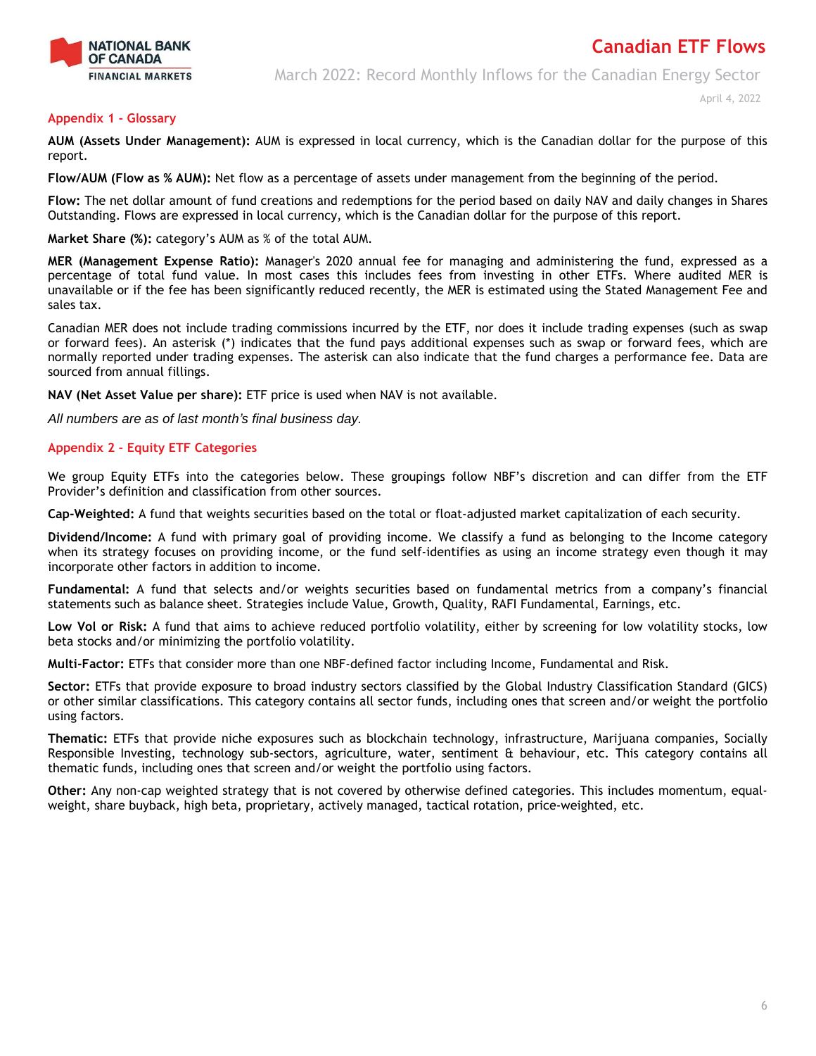

March 2022: Record Monthly Inflows for the Canadian Energy Sector

April 4, 2022

## **Appendix 1 - Glossary**

**AUM (Assets Under Management):** AUM is expressed in local currency, which is the Canadian dollar for the purpose of this report.

**Flow/AUM (Flow as % AUM):** Net flow as a percentage of assets under management from the beginning of the period.

**Flow:** The net dollar amount of fund creations and redemptions for the period based on daily NAV and daily changes in Shares Outstanding. Flows are expressed in local currency, which is the Canadian dollar for the purpose of this report.

**Market Share (%):** category's AUM as % of the total AUM.

**MER (Management Expense Ratio):** Manager's 2020 annual fee for managing and administering the fund, expressed as a percentage of total fund value. In most cases this includes fees from investing in other ETFs. Where audited MER is unavailable or if the fee has been significantly reduced recently, the MER is estimated using the Stated Management Fee and sales tax.

Canadian MER does not include trading commissions incurred by the ETF, nor does it include trading expenses (such as swap or forward fees). An asterisk (\*) indicates that the fund pays additional expenses such as swap or forward fees, which are normally reported under trading expenses. The asterisk can also indicate that the fund charges a performance fee. Data are sourced from annual fillings.

**NAV (Net Asset Value per share):** ETF price is used when NAV is not available.

*All numbers are as of last month's final business day.* 

## **Appendix 2 - Equity ETF Categories**

We group Equity ETFs into the categories below. These groupings follow NBF's discretion and can differ from the ETF Provider's definition and classification from other sources.

**Cap-Weighted:** A fund that weights securities based on the total or float-adjusted market capitalization of each security.

**Dividend/Income:** A fund with primary goal of providing income. We classify a fund as belonging to the Income category when its strategy focuses on providing income, or the fund self-identifies as using an income strategy even though it may incorporate other factors in addition to income.

**Fundamental:** A fund that selects and/or weights securities based on fundamental metrics from a company's financial statements such as balance sheet. Strategies include Value, Growth, Quality, RAFI Fundamental, Earnings, etc.

**Low Vol or Risk:** A fund that aims to achieve reduced portfolio volatility, either by screening for low volatility stocks, low beta stocks and/or minimizing the portfolio volatility.

**Multi-Factor:** ETFs that consider more than one NBF-defined factor including Income, Fundamental and Risk.

**Sector:** ETFs that provide exposure to broad industry sectors classified by the Global Industry Classification Standard (GICS) or other similar classifications. This category contains all sector funds, including ones that screen and/or weight the portfolio using factors.

**Thematic:** ETFs that provide niche exposures such as blockchain technology, infrastructure, Marijuana companies, Socially Responsible Investing, technology sub-sectors, agriculture, water, sentiment & behaviour, etc. This category contains all thematic funds, including ones that screen and/or weight the portfolio using factors.

**Other:** Any non-cap weighted strategy that is not covered by otherwise defined categories. This includes momentum, equalweight, share buyback, high beta, proprietary, actively managed, tactical rotation, price-weighted, etc.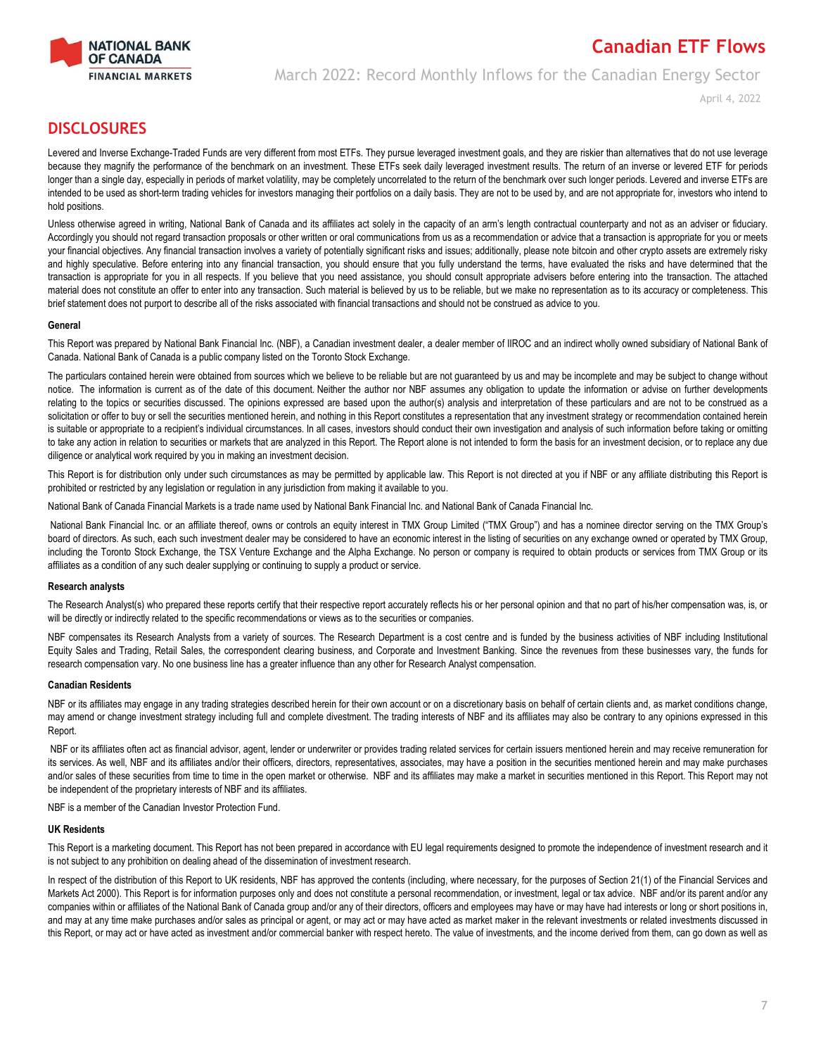

# March 2022: Record Monthly Inflows for the Canadian Energy Sector

April 4, 2022

**Canadian ETF Flows**

## **DISCLOSURES**

Levered and Inverse Exchange-Traded Funds are very different from most ETFs. They pursue leveraged investment goals, and they are riskier than alternatives that do not use leverage because they magnify the performance of the benchmark on an investment. These ETFs seek daily leveraged investment results. The return of an inverse or levered ETF for periods longer than a single day, especially in periods of market volatility, may be completely uncorrelated to the return of the benchmark over such longer periods. Levered and inverse ETFs are intended to be used as short-term trading vehicles for investors managing their portfolios on a daily basis. They are not to be used by, and are not appropriate for, investors who intend to hold positions.

Unless otherwise agreed in writing, National Bank of Canada and its affiliates act solely in the capacity of an arm's length contractual counterparty and not as an adviser or fiduciary. Accordingly you should not regard transaction proposals or other written or oral communications from us as a recommendation or advice that a transaction is appropriate for you or meets your financial objectives. Any financial transaction involves a variety of potentially significant risks and issues; additionally, please note bitcoin and other crypto assets are extremely risky and highly speculative. Before entering into any financial transaction, you should ensure that you fully understand the terms, have evaluated the risks and have determined that the transaction is appropriate for you in all respects. If you believe that you need assistance, you should consult appropriate advisers before entering into the transaction. The attached material does not constitute an offer to enter into any transaction. Such material is believed by us to be reliable, but we make no representation as to its accuracy or completeness. This brief statement does not purport to describe all of the risks associated with financial transactions and should not be construed as advice to you.

## **General**

This Report was prepared by National Bank Financial Inc. (NBF), a Canadian investment dealer, a dealer member of IIROC and an indirect wholly owned subsidiary of National Bank of Canada. National Bank of Canada is a public company listed on the Toronto Stock Exchange.

The particulars contained herein were obtained from sources which we believe to be reliable but are not guaranteed by us and may be incomplete and may be subject to change without notice. The information is current as of the date of this document. Neither the author nor NBF assumes any obligation to update the information or advise on further developments relating to the topics or securities discussed. The opinions expressed are based upon the author(s) analysis and interpretation of these particulars and are not to be construed as a solicitation or offer to buy or sell the securities mentioned herein, and nothing in this Report constitutes a representation that any investment strategy or recommendation contained herein is suitable or appropriate to a recipient's individual circumstances. In all cases, investors should conduct their own investigation and analysis of such information before taking or omitting to take any action in relation to securities or markets that are analyzed in this Report. The Report alone is not intended to form the basis for an investment decision, or to replace any due diligence or analytical work required by you in making an investment decision.

This Report is for distribution only under such circumstances as may be permitted by applicable law. This Report is not directed at you if NBF or any affiliate distributing this Report is prohibited or restricted by any legislation or regulation in any jurisdiction from making it available to you.

National Bank of Canada Financial Markets is a trade name used by National Bank Financial Inc. and National Bank of Canada Financial Inc.

National Bank Financial Inc. or an affiliate thereof, owns or controls an equity interest in TMX Group Limited ("TMX Group") and has a nominee director serving on the TMX Group's board of directors. As such, each such investment dealer may be considered to have an economic interest in the listing of securities on any exchange owned or operated by TMX Group, including the Toronto Stock Exchange, the TSX Venture Exchange and the Alpha Exchange. No person or company is required to obtain products or services from TMX Group or its affiliates as a condition of any such dealer supplying or continuing to supply a product or service.

## **Research analysts**

The Research Analyst(s) who prepared these reports certify that their respective report accurately reflects his or her personal opinion and that no part of his/her compensation was, is, or will be directly or indirectly related to the specific recommendations or views as to the securities or companies.

NBF compensates its Research Analysts from a variety of sources. The Research Department is a cost centre and is funded by the business activities of NBF including Institutional Equity Sales and Trading, Retail Sales, the correspondent clearing business, and Corporate and Investment Banking. Since the revenues from these businesses vary, the funds for research compensation vary. No one business line has a greater influence than any other for Research Analyst compensation.

## **Canadian Residents**

NBF or its affiliates may engage in any trading strategies described herein for their own account or on a discretionary basis on behalf of certain clients and, as market conditions change, may amend or change investment strategy including full and complete divestment. The trading interests of NBF and its affiliates may also be contrary to any opinions expressed in this Report.

NBF or its affiliates often act as financial advisor, agent, lender or underwriter or provides trading related services for certain issuers mentioned herein and may receive remuneration for its services. As well, NBF and its affiliates and/or their officers, directors, representatives, associates, may have a position in the securities mentioned herein and may make purchases and/or sales of these securities from time to time in the open market or otherwise. NBF and its affiliates may make a market in securities mentioned in this Report. This Report may not be independent of the proprietary interests of NBF and its affiliates.

NBF is a member of the Canadian Investor Protection Fund.

## **UK Residents**

This Report is a marketing document. This Report has not been prepared in accordance with EU legal requirements designed to promote the independence of investment research and it is not subject to any prohibition on dealing ahead of the dissemination of investment research.

In respect of the distribution of this Report to UK residents, NBF has approved the contents (including, where necessary, for the purposes of Section 21(1) of the Financial Services and Markets Act 2000). This Report is for information purposes only and does not constitute a personal recommendation, or investment, legal or tax advice. NBF and/or its parent and/or any companies within or affiliates of the National Bank of Canada group and/or any of their directors, officers and employees may have or may have had interests or long or short positions in, and may at any time make purchases and/or sales as principal or agent, or may act or may have acted as market maker in the relevant investments or related investments discussed in this Report, or may act or have acted as investment and/or commercial banker with respect hereto. The value of investments, and the income derived from them, can go down as well as